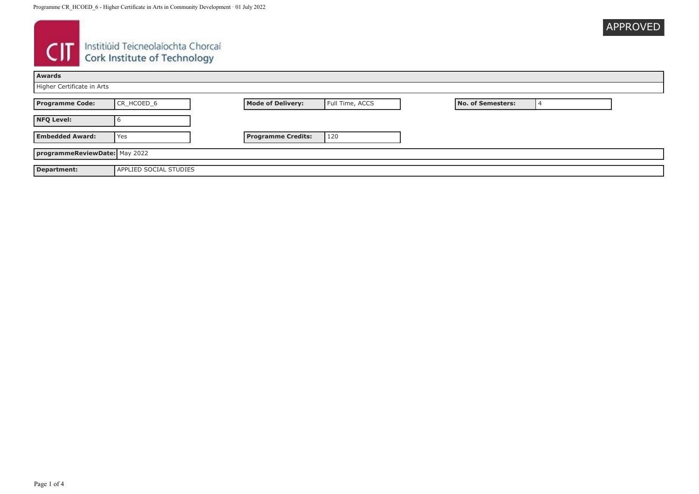

# **CIT** Instituid Teicneolaíochta Chorcaí

| Awards                        |                               |                           |                 |  |                   |  |
|-------------------------------|-------------------------------|---------------------------|-----------------|--|-------------------|--|
| Higher Certificate in Arts    |                               |                           |                 |  |                   |  |
| <b>Programme Code:</b>        | CR_HCOED_6                    | <b>Mode of Delivery:</b>  | Full Time, ACCS |  | No. of Semesters: |  |
| <b>NFQ Level:</b>             |                               |                           |                 |  |                   |  |
| <b>Embedded Award:</b>        | Yes                           | <b>Programme Credits:</b> | 120             |  |                   |  |
| programmeReviewDate: May 2022 |                               |                           |                 |  |                   |  |
| Department:                   | <b>APPLIED SOCIAL STUDIES</b> |                           |                 |  |                   |  |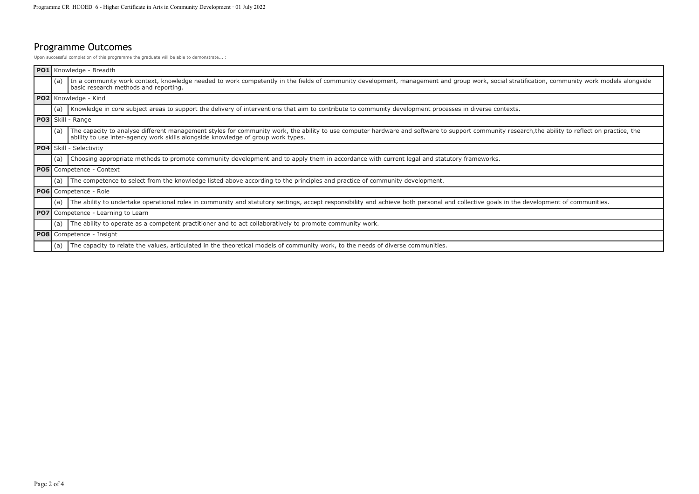## Programme Outcomes

Upon successful completion of this programme the graduate will be able to demonstrate... :

| PO <sub>1</sub> |                                 | Knowledge - Breadth                                                                                                                                                                                                                                                                  |
|-----------------|---------------------------------|--------------------------------------------------------------------------------------------------------------------------------------------------------------------------------------------------------------------------------------------------------------------------------------|
|                 | (a)                             | In a community work context, knowledge needed to work competently in the fields of community development, management and group work, social stratification, community work models alongside<br>basic research methods and reporting.                                                 |
|                 | PO2 Knowledge - Kind            |                                                                                                                                                                                                                                                                                      |
|                 | (a)                             | Knowledge in core subject areas to support the delivery of interventions that aim to contribute to community development processes in diverse contexts.                                                                                                                              |
|                 | <b>PO3</b> Skill - Range        |                                                                                                                                                                                                                                                                                      |
|                 | (a)                             | The capacity to analyse different management styles for community work, the ability to use computer hardware and software to support community research, the ability to reflect on practice, the<br>ability to use inter-agency work skills alongside knowledge of group work types. |
|                 | PO4 Skill - Selectivity         |                                                                                                                                                                                                                                                                                      |
|                 | (a)                             | Choosing appropriate methods to promote community development and to apply them in accordance with current legal and statutory frameworks.                                                                                                                                           |
|                 | <b>PO5</b> Competence - Context |                                                                                                                                                                                                                                                                                      |
|                 | (a)                             | The competence to select from the knowledge listed above according to the principles and practice of community development.                                                                                                                                                          |
|                 |                                 | <b>PO6</b> Competence - Role                                                                                                                                                                                                                                                         |
|                 | (a)                             | The ability to undertake operational roles in community and statutory settings, accept responsibility and achieve both personal and collective goals in the development of communities.                                                                                              |
| <b>PO7</b>      |                                 | Competence - Learning to Learn                                                                                                                                                                                                                                                       |
|                 | (a)                             | The ability to operate as a competent practitioner and to act collaboratively to promote community work.                                                                                                                                                                             |
|                 | <b>PO8</b> Competence - Insight |                                                                                                                                                                                                                                                                                      |
|                 | (a)                             | The capacity to relate the values, articulated in the theoretical models of community work, to the needs of diverse communities.                                                                                                                                                     |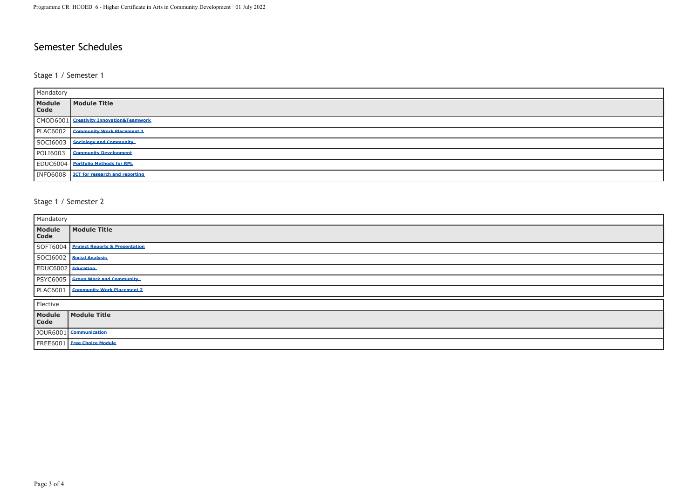### Semester Schedules

#### Stage 1 / Semester 1

| Mandatory             |                                           |  |
|-----------------------|-------------------------------------------|--|
| <b>Module</b><br>Code | Module Title                              |  |
|                       | CMOD6001 Creativity Innovation&Teamwork   |  |
|                       | PLAC6002 Community Work Placement 1       |  |
|                       | SOCI6003   Sociology and Community        |  |
| <b>POLI6003</b>       | <b>Community Development</b>              |  |
|                       | <b>EDUC6004</b> Portfolio Methods for RPL |  |
| <b>INFO6008</b>       | <b>ICT</b> for research and reporting     |  |

#### Stage 1 / Semester 2

| Mandatory          |                                         |  |
|--------------------|-----------------------------------------|--|
| Module<br>Code     | Module Title                            |  |
|                    | SOFT6004 Project Reports & Presentation |  |
|                    | SOCI6002   Social Analysis              |  |
| EDUC6002 Education |                                         |  |
|                    | PSYC6005 Group Work and Community       |  |
|                    | PLAC6001   Community Work Placement 2   |  |
| Elective           |                                         |  |
| Module<br>Code     | Module Title                            |  |
|                    | JOUR6001 Communication                  |  |
|                    | FREE6001 Free Choice Module             |  |